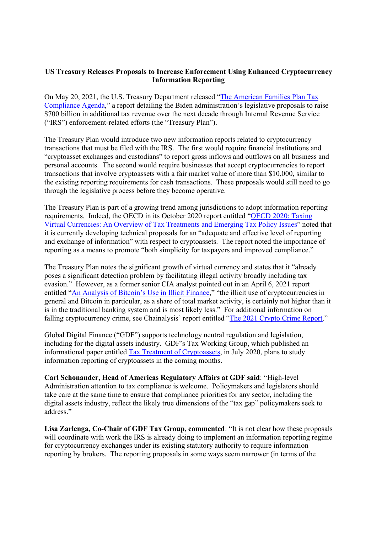## US Treasury Releases Proposals to Increase Enforcement Using Enhanced Cryptocurrency Information Reporting

On May 20, 2021, the U.S. Treasury Department released "The American Families Plan Tax Compliance Agenda," a report detailing the Biden administration's legislative proposals to raise \$700 billion in additional tax revenue over the next decade through Internal Revenue Service ("IRS") enforcement-related efforts (the "Treasury Plan").

The Treasury Plan would introduce two new information reports related to cryptocurrency transactions that must be filed with the IRS. The first would require financial institutions and "cryptoasset exchanges and custodians" to report gross inflows and outflows on all business and personal accounts. The second would require businesses that accept cryptocurrencies to report transactions that involve cryptoassets with a fair market value of more than \$10,000, similar to the existing reporting requirements for cash transactions. These proposals would still need to go through the legislative process before they become operative.

The Treasury Plan is part of a growing trend among jurisdictions to adopt information reporting requirements. Indeed, the OECD in its October 2020 report entitled "OECD 2020: Taxing Virtual Currencies: An Overview of Tax Treatments and Emerging Tax Policy Issues" noted that it is currently developing technical proposals for an "adequate and effective level of reporting and exchange of information" with respect to cryptoassets. The report noted the importance of reporting as a means to promote "both simplicity for taxpayers and improved compliance."

The Treasury Plan notes the significant growth of virtual currency and states that it "already poses a significant detection problem by facilitating illegal activity broadly including tax evasion." However, as a former senior CIA analyst pointed out in an April 6, 2021 report entitled "An Analysis of Bitcoin's Use in Illicit Finance," "the illicit use of cryptocurrencies in general and Bitcoin in particular, as a share of total market activity, is certainly not higher than it is in the traditional banking system and is most likely less." For additional information on falling cryptocurrency crime, see Chainalysis' report entitled "The 2021 Crypto Crime Report."

Global Digital Finance ("GDF") supports technology neutral regulation and legislation, including for the digital assets industry. GDF's Tax Working Group, which published an informational paper entitled Tax Treatment of Cryptoassets, in July 2020, plans to study information reporting of cryptoassets in the coming months.

Carl Schonander, Head of Americas Regulatory Affairs at GDF said: "High-level Administration attention to tax compliance is welcome. Policymakers and legislators should take care at the same time to ensure that compliance priorities for any sector, including the digital assets industry, reflect the likely true dimensions of the "tax gap" policymakers seek to address."

Lisa Zarlenga, Co-Chair of GDF Tax Group, commented: "It is not clear how these proposals will coordinate with work the IRS is already doing to implement an information reporting regime for cryptocurrency exchanges under its existing statutory authority to require information reporting by brokers. The reporting proposals in some ways seem narrower (in terms of the